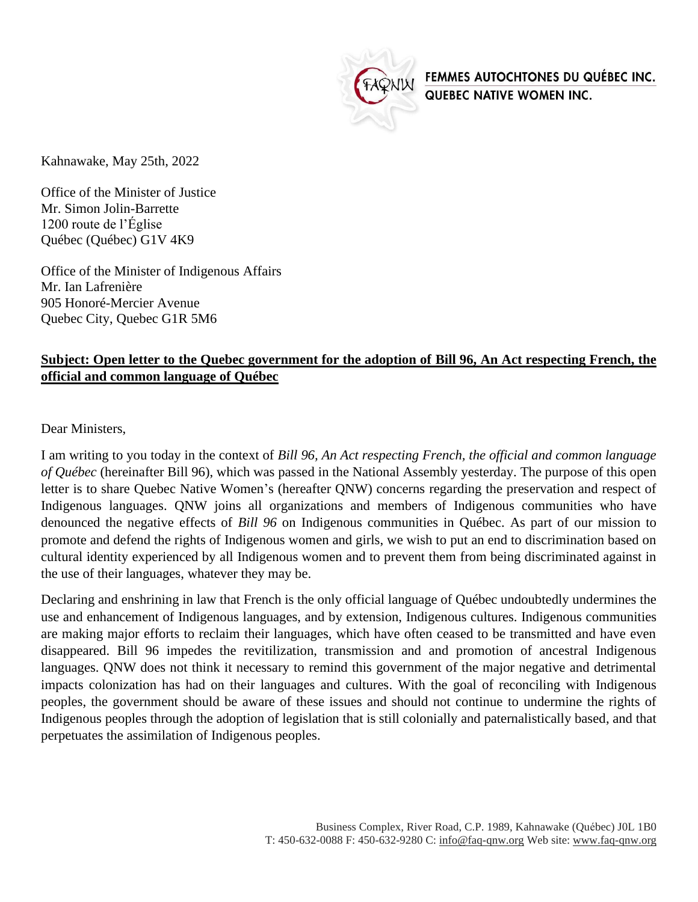

FEMMES AUTOCHTONES DU QUÉBEC INC. QUEBEC NATIVE WOMEN INC.

Kahnawake, May 25th, 2022

Office of the Minister of Justice Mr. Simon Jolin-Barrette 1200 route de l'Église Québec (Québec) G1V 4K9

Office of the Minister of Indigenous Affairs Mr. Ian Lafrenière 905 Honoré-Mercier Avenue Quebec City, Quebec G1R 5M6

## **Subject: Open letter to the Quebec government for the adoption of Bill 96, An Act respecting French, the official and common language of Québec**

Dear Ministers,

I am writing to you today in the context of *Bill 96, An Act respecting French, the official and common language of Québec* (hereinafter Bill 96), which was passed in the National Assembly yesterday. The purpose of this open letter is to share Quebec Native Women's (hereafter QNW) concerns regarding the preservation and respect of Indigenous languages. QNW joins all organizations and members of Indigenous communities who have denounced the negative effects of *Bill 96* on Indigenous communities in Québec. As part of our mission to promote and defend the rights of Indigenous women and girls, we wish to put an end to discrimination based on cultural identity experienced by all Indigenous women and to prevent them from being discriminated against in the use of their languages, whatever they may be.

Declaring and enshrining in law that French is the only official language of Québec undoubtedly undermines the use and enhancement of Indigenous languages, and by extension, Indigenous cultures. Indigenous communities are making major efforts to reclaim their languages, which have often ceased to be transmitted and have even disappeared. Bill 96 impedes the revitilization, transmission and and promotion of ancestral Indigenous languages. QNW does not think it necessary to remind this government of the major negative and detrimental impacts colonization has had on their languages and cultures. With the goal of reconciling with Indigenous peoples, the government should be aware of these issues and should not continue to undermine the rights of Indigenous peoples through the adoption of legislation that is still colonially and paternalistically based, and that perpetuates the assimilation of Indigenous peoples.